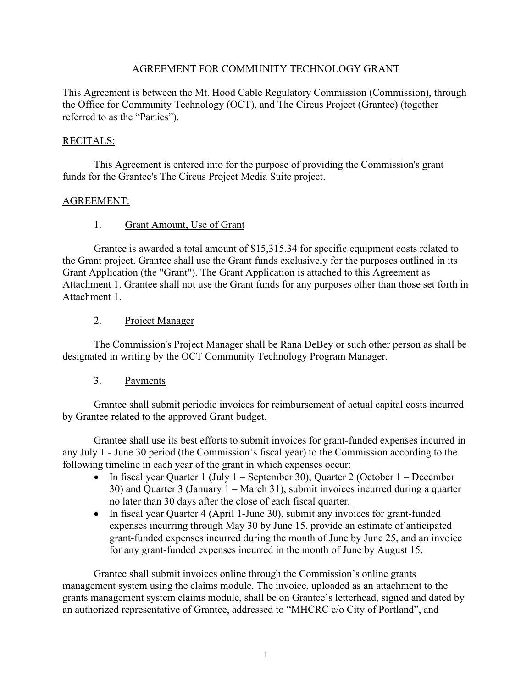## AGREEMENT FOR COMMUNITY TECHNOLOGY GRANT

This Agreement is between the Mt. Hood Cable Regulatory Commission (Commission), through the Office for Community Technology (OCT), and The Circus Project (Grantee) (together referred to as the "Parties").

## RECITALS:

This Agreement is entered into for the purpose of providing the Commission's grant funds for the Grantee's The Circus Project Media Suite project.

## AGREEMENT:

## 1. Grant Amount, Use of Grant

Grantee is awarded a total amount of \$15,315.34 for specific equipment costs related to the Grant project. Grantee shall use the Grant funds exclusively for the purposes outlined in its Grant Application (the "Grant"). The Grant Application is attached to this Agreement as Attachment 1. Grantee shall not use the Grant funds for any purposes other than those set forth in Attachment 1.

## 2. Project Manager

The Commission's Project Manager shall be Rana DeBey or such other person as shall be designated in writing by the OCT Community Technology Program Manager.

## 3. Payments

Grantee shall submit periodic invoices for reimbursement of actual capital costs incurred by Grantee related to the approved Grant budget.

Grantee shall use its best efforts to submit invoices for grant-funded expenses incurred in any July 1 - June 30 period (the Commission's fiscal year) to the Commission according to the following timeline in each year of the grant in which expenses occur:

- In fiscal year Quarter 1 (July 1 September 30), Quarter 2 (October 1 December 30) and Quarter 3 (January 1 – March 31), submit invoices incurred during a quarter no later than 30 days after the close of each fiscal quarter.
- In fiscal year Quarter 4 (April 1-June 30), submit any invoices for grant-funded expenses incurring through May 30 by June 15, provide an estimate of anticipated grant-funded expenses incurred during the month of June by June 25, and an invoice for any grant-funded expenses incurred in the month of June by August 15.

Grantee shall submit invoices online through the Commission's online grants management system using the claims module. The invoice, uploaded as an attachment to the grants management system claims module, shall be on Grantee's letterhead, signed and dated by an authorized representative of Grantee, addressed to "MHCRC c/o City of Portland", and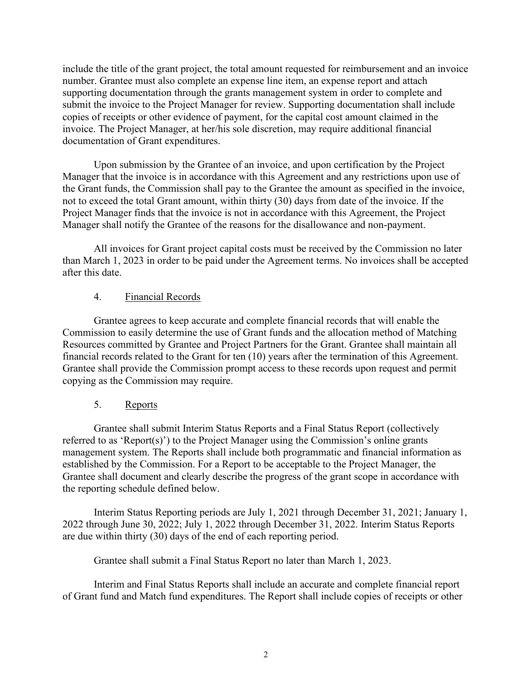include the title of the grant project, the total amount requested for reimbursement and an invoice number. Grantee must also complete an expense line item, an expense report and attach supporting documentation through the grants management system in order to complete and submit the invoice to the Project Manager for review. Supporting documentation shall include copies of receipts or other evidence of payment, for the capital cost amount claimed in the invoice. The Project Manager, at her/his sole discretion, may require additional financial documentation of Grant expenditures.

Upon submission by the Grantee of an invoice, and upon certification by the Project Manager that the invoice is in accordance with this Agreement and any restrictions upon use of the Grant funds, the Commission shall pay to the Grantee the amount as specified in the invoice, not to exceed the total Grant amount, within thirty (30) days from date of the invoice. If the Project Manager finds that the invoice is not in accordance with this Agreement, the Project Manager shall notify the Grantee of the reasons for the disallowance and non-payment.

All invoices for Grant project capital costs must be received by the Commission no later than March 1, 2023 in order to be paid under the Agreement terms. No invoices shall be accepted after this date.

# 4. Financial Records

Grantee agrees to keep accurate and complete financial records that will enable the Commission to easily determine the use of Grant funds and the allocation method of Matching Resources committed by Grantee and Project Partners for the Grant. Grantee shall maintain all financial records related to the Grant for ten (10) years after the termination of this Agreement. Grantee shall provide the Commission prompt access to these records upon request and permit copying as the Commission may require.

# 5. Reports

Grantee shall submit Interim Status Reports and a Final Status Report (collectively referred to as 'Report(s)') to the Project Manager using the Commission's online grants management system. The Reports shall include both programmatic and financial information as established by the Commission. For a Report to be acceptable to the Project Manager, the Grantee shall document and clearly describe the progress of the grant scope in accordance with the reporting schedule defined below.

Interim Status Reporting periods are July 1, 2021 through December 31, 2021; January 1, 2022 through June 30, 2022; July 1, 2022 through December 31, 2022. Interim Status Reports are due within thirty (30) days of the end of each reporting period.

Grantee shall submit a Final Status Report no later than March 1, 2023.

Interim and Final Status Reports shall include an accurate and complete financial report of Grant fund and Match fund expenditures. The Report shall include copies of receipts or other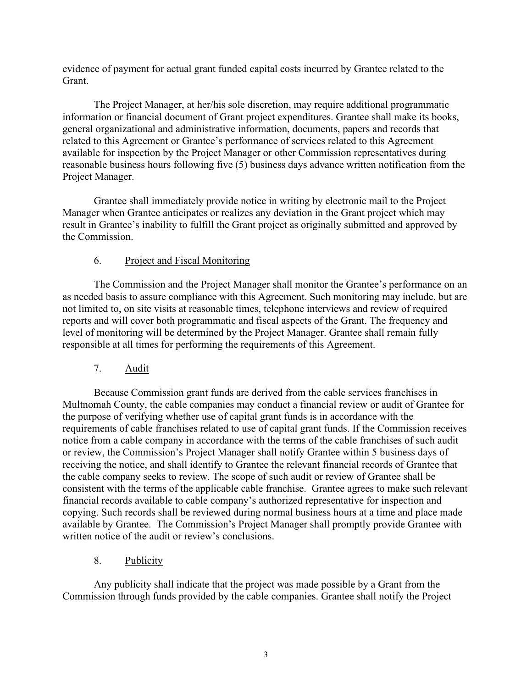evidence of payment for actual grant funded capital costs incurred by Grantee related to the Grant.

The Project Manager, at her/his sole discretion, may require additional programmatic information or financial document of Grant project expenditures. Grantee shall make its books, general organizational and administrative information, documents, papers and records that related to this Agreement or Grantee's performance of services related to this Agreement available for inspection by the Project Manager or other Commission representatives during reasonable business hours following five (5) business days advance written notification from the Project Manager.

Grantee shall immediately provide notice in writing by electronic mail to the Project Manager when Grantee anticipates or realizes any deviation in the Grant project which may result in Grantee's inability to fulfill the Grant project as originally submitted and approved by the Commission.

# 6. Project and Fiscal Monitoring

The Commission and the Project Manager shall monitor the Grantee's performance on an as needed basis to assure compliance with this Agreement. Such monitoring may include, but are not limited to, on site visits at reasonable times, telephone interviews and review of required reports and will cover both programmatic and fiscal aspects of the Grant. The frequency and level of monitoring will be determined by the Project Manager. Grantee shall remain fully responsible at all times for performing the requirements of this Agreement.

# 7. Audit

Because Commission grant funds are derived from the cable services franchises in Multnomah County, the cable companies may conduct a financial review or audit of Grantee for the purpose of verifying whether use of capital grant funds is in accordance with the requirements of cable franchises related to use of capital grant funds. If the Commission receives notice from a cable company in accordance with the terms of the cable franchises of such audit or review, the Commission's Project Manager shall notify Grantee within 5 business days of receiving the notice, and shall identify to Grantee the relevant financial records of Grantee that the cable company seeks to review. The scope of such audit or review of Grantee shall be consistent with the terms of the applicable cable franchise. Grantee agrees to make such relevant financial records available to cable company's authorized representative for inspection and copying. Such records shall be reviewed during normal business hours at a time and place made available by Grantee. The Commission's Project Manager shall promptly provide Grantee with written notice of the audit or review's conclusions.

8. Publicity

Any publicity shall indicate that the project was made possible by a Grant from the Commission through funds provided by the cable companies. Grantee shall notify the Project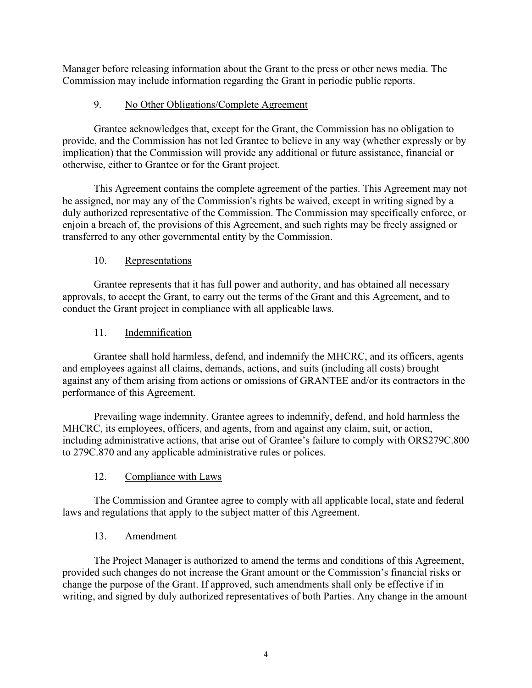Manager before releasing information about the Grant to the press or other news media. The Commission may include information regarding the Grant in periodic public reports.

# 9. No Other Obligations/Complete Agreement

Grantee acknowledges that, except for the Grant, the Commission has no obligation to provide, and the Commission has not led Grantee to believe in any way (whether expressly or by implication) that the Commission will provide any additional or future assistance, financial or otherwise, either to Grantee or for the Grant project.

This Agreement contains the complete agreement of the parties. This Agreement may not be assigned, nor may any of the Commission's rights be waived, except in writing signed by a duly authorized representative of the Commission. The Commission may specifically enforce, or enjoin a breach of, the provisions of this Agreement, and such rights may be freely assigned or transferred to any other governmental entity by the Commission.

# 10. Representations

Grantee represents that it has full power and authority, and has obtained all necessary approvals, to accept the Grant, to carry out the terms of the Grant and this Agreement, and to conduct the Grant project in compliance with all applicable laws.

# 11. Indemnification

Grantee shall hold harmless, defend, and indemnify the MHCRC, and its officers, agents and employees against all claims, demands, actions, and suits (including all costs) brought against any of them arising from actions or omissions of GRANTEE and/or its contractors in the performance of this Agreement.

Prevailing wage indemnity. Grantee agrees to indemnify, defend, and hold harmless the MHCRC, its employees, officers, and agents, from and against any claim, suit, or action, including administrative actions, that arise out of Grantee's failure to comply with ORS279C.800 to 279C.870 and any applicable administrative rules or polices.

# 12. Compliance with Laws

The Commission and Grantee agree to comply with all applicable local, state and federal laws and regulations that apply to the subject matter of this Agreement.

# 13. Amendment

The Project Manager is authorized to amend the terms and conditions of this Agreement, provided such changes do not increase the Grant amount or the Commission's financial risks or change the purpose of the Grant. If approved, such amendments shall only be effective if in writing, and signed by duly authorized representatives of both Parties. Any change in the amount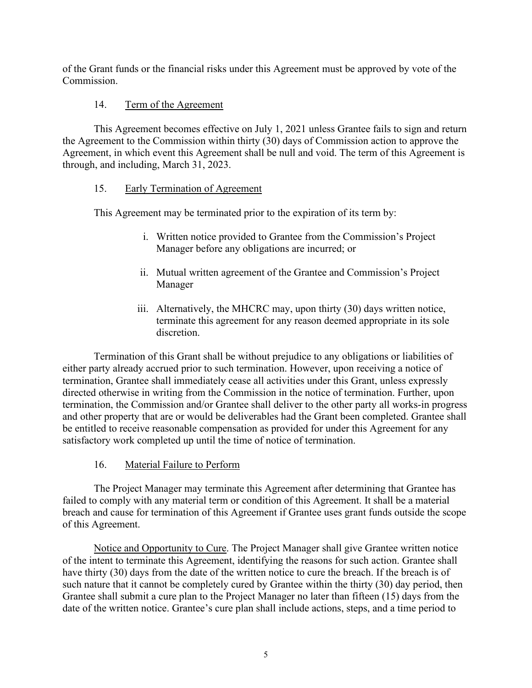of the Grant funds or the financial risks under this Agreement must be approved by vote of the Commission.

## 14. Term of the Agreement

This Agreement becomes effective on July 1, 2021 unless Grantee fails to sign and return the Agreement to the Commission within thirty (30) days of Commission action to approve the Agreement, in which event this Agreement shall be null and void. The term of this Agreement is through, and including, March 31, 2023.

## 15. Early Termination of Agreement

This Agreement may be terminated prior to the expiration of its term by:

- i. Written notice provided to Grantee from the Commission's Project Manager before any obligations are incurred; or
- ii. Mutual written agreement of the Grantee and Commission's Project Manager
- iii. Alternatively, the MHCRC may, upon thirty (30) days written notice, terminate this agreement for any reason deemed appropriate in its sole discretion.

Termination of this Grant shall be without prejudice to any obligations or liabilities of either party already accrued prior to such termination. However, upon receiving a notice of termination, Grantee shall immediately cease all activities under this Grant, unless expressly directed otherwise in writing from the Commission in the notice of termination. Further, upon termination, the Commission and/or Grantee shall deliver to the other party all works-in progress and other property that are or would be deliverables had the Grant been completed. Grantee shall be entitled to receive reasonable compensation as provided for under this Agreement for any satisfactory work completed up until the time of notice of termination.

16. Material Failure to Perform

The Project Manager may terminate this Agreement after determining that Grantee has failed to comply with any material term or condition of this Agreement. It shall be a material breach and cause for termination of this Agreement if Grantee uses grant funds outside the scope of this Agreement.

Notice and Opportunity to Cure. The Project Manager shall give Grantee written notice of the intent to terminate this Agreement, identifying the reasons for such action. Grantee shall have thirty (30) days from the date of the written notice to cure the breach. If the breach is of such nature that it cannot be completely cured by Grantee within the thirty (30) day period, then Grantee shall submit a cure plan to the Project Manager no later than fifteen (15) days from the date of the written notice. Grantee's cure plan shall include actions, steps, and a time period to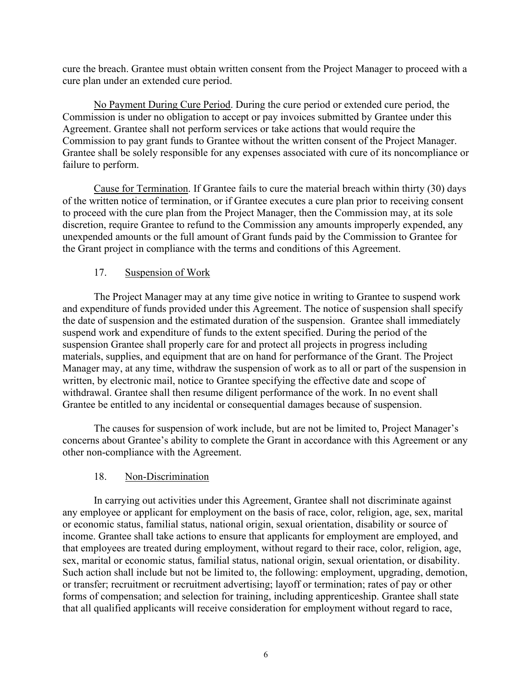cure the breach. Grantee must obtain written consent from the Project Manager to proceed with a cure plan under an extended cure period.

No Payment During Cure Period. During the cure period or extended cure period, the Commission is under no obligation to accept or pay invoices submitted by Grantee under this Agreement. Grantee shall not perform services or take actions that would require the Commission to pay grant funds to Grantee without the written consent of the Project Manager. Grantee shall be solely responsible for any expenses associated with cure of its noncompliance or failure to perform.

Cause for Termination. If Grantee fails to cure the material breach within thirty (30) days of the written notice of termination, or if Grantee executes a cure plan prior to receiving consent to proceed with the cure plan from the Project Manager, then the Commission may, at its sole discretion, require Grantee to refund to the Commission any amounts improperly expended, any unexpended amounts or the full amount of Grant funds paid by the Commission to Grantee for the Grant project in compliance with the terms and conditions of this Agreement.

# 17. Suspension of Work

The Project Manager may at any time give notice in writing to Grantee to suspend work and expenditure of funds provided under this Agreement. The notice of suspension shall specify the date of suspension and the estimated duration of the suspension. Grantee shall immediately suspend work and expenditure of funds to the extent specified. During the period of the suspension Grantee shall properly care for and protect all projects in progress including materials, supplies, and equipment that are on hand for performance of the Grant. The Project Manager may, at any time, withdraw the suspension of work as to all or part of the suspension in written, by electronic mail, notice to Grantee specifying the effective date and scope of withdrawal. Grantee shall then resume diligent performance of the work. In no event shall Grantee be entitled to any incidental or consequential damages because of suspension.

The causes for suspension of work include, but are not be limited to, Project Manager's concerns about Grantee's ability to complete the Grant in accordance with this Agreement or any other non-compliance with the Agreement.

# 18. Non-Discrimination

In carrying out activities under this Agreement, Grantee shall not discriminate against any employee or applicant for employment on the basis of race, color, religion, age, sex, marital or economic status, familial status, national origin, sexual orientation, disability or source of income. Grantee shall take actions to ensure that applicants for employment are employed, and that employees are treated during employment, without regard to their race, color, religion, age, sex, marital or economic status, familial status, national origin, sexual orientation, or disability. Such action shall include but not be limited to, the following: employment, upgrading, demotion, or transfer; recruitment or recruitment advertising; layoff or termination; rates of pay or other forms of compensation; and selection for training, including apprenticeship. Grantee shall state that all qualified applicants will receive consideration for employment without regard to race,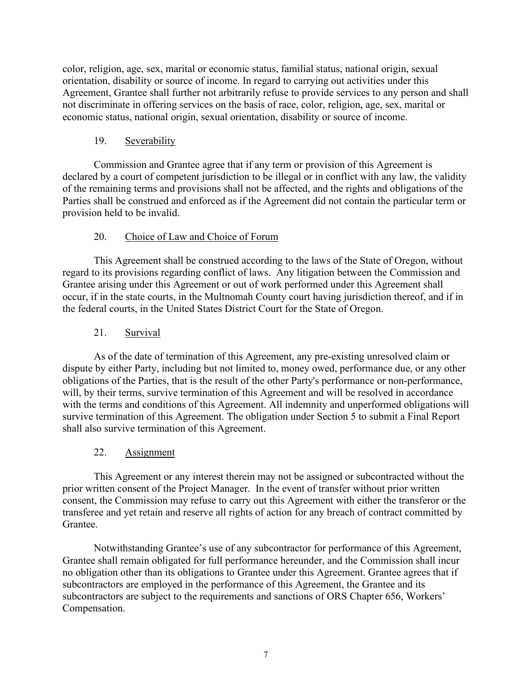color, religion, age, sex, marital or economic status, familial status, national origin, sexual orientation, disability or source of income. In regard to carrying out activities under this Agreement, Grantee shall further not arbitrarily refuse to provide services to any person and shall not discriminate in offering services on the basis of race, color, religion, age, sex, marital or economic status, national origin, sexual orientation, disability or source of income.

## 19. Severability

Commission and Grantee agree that if any term or provision of this Agreement is declared by a court of competent jurisdiction to be illegal or in conflict with any law, the validity of the remaining terms and provisions shall not be affected, and the rights and obligations of the Parties shall be construed and enforced as if the Agreement did not contain the particular term or provision held to be invalid.

# 20. Choice of Law and Choice of Forum

This Agreement shall be construed according to the laws of the State of Oregon, without regard to its provisions regarding conflict of laws. Any litigation between the Commission and Grantee arising under this Agreement or out of work performed under this Agreement shall occur, if in the state courts, in the Multnomah County court having jurisdiction thereof, and if in the federal courts, in the United States District Court for the State of Oregon.

# 21. Survival

As of the date of termination of this Agreement, any pre-existing unresolved claim or dispute by either Party, including but not limited to, money owed, performance due, or any other obligations of the Parties, that is the result of the other Party's performance or non-performance, will, by their terms, survive termination of this Agreement and will be resolved in accordance with the terms and conditions of this Agreement. All indemnity and unperformed obligations will survive termination of this Agreement. The obligation under Section 5 to submit a Final Report shall also survive termination of this Agreement.

# 22. Assignment

This Agreement or any interest therein may not be assigned or subcontracted without the prior written consent of the Project Manager. In the event of transfer without prior written consent, the Commission may refuse to carry out this Agreement with either the transferor or the transferee and yet retain and reserve all rights of action for any breach of contract committed by Grantee.

Notwithstanding Grantee's use of any subcontractor for performance of this Agreement, Grantee shall remain obligated for full performance hereunder, and the Commission shall incur no obligation other than its obligations to Grantee under this Agreement. Grantee agrees that if subcontractors are employed in the performance of this Agreement, the Grantee and its subcontractors are subject to the requirements and sanctions of ORS Chapter 656, Workers' Compensation.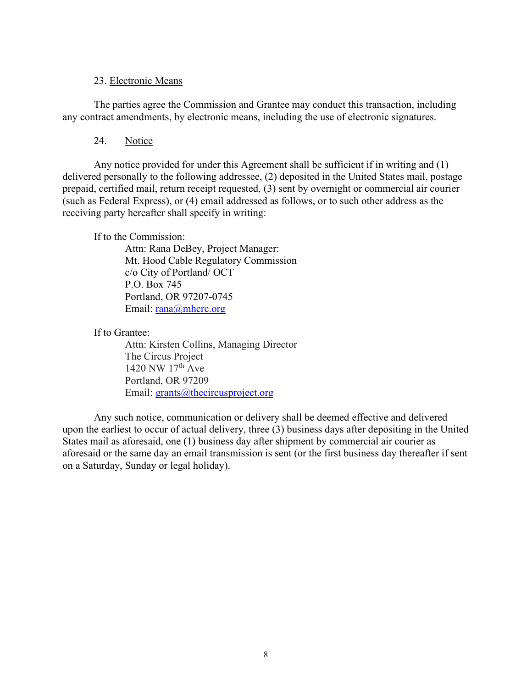## 23. Electronic Means

The parties agree the Commission and Grantee may conduct this transaction, including any contract amendments, by electronic means, including the use of electronic signatures.

24. Notice

Any notice provided for under this Agreement shall be sufficient if in writing and (1) delivered personally to the following addressee, (2) deposited in the United States mail, postage prepaid, certified mail, return receipt requested, (3) sent by overnight or commercial air courier (such as Federal Express), or (4) email addressed as follows, or to such other address as the receiving party hereafter shall specify in writing:

If to the Commission:

Attn: Rana DeBey, Project Manager: Mt. Hood Cable Regulatory Commission c/o City of Portland/ OCT P.O. Box 745 Portland, OR 97207-0745 Email: [rana@mhcrc.org](mailto:rana@mhcrc.org)

If to Grantee:

Attn: Kirsten Collins, Managing Director The Circus Project 1420 NW 17<sup>th</sup> Ave Portland, OR 97209 Email: [grants@thecircusproject.org](mailto:grants@thecircusproject.org)

Any such notice, communication or delivery shall be deemed effective and delivered upon the earliest to occur of actual delivery, three (3) business days after depositing in the United States mail as aforesaid, one (1) business day after shipment by commercial air courier as aforesaid or the same day an email transmission is sent (or the first business day thereafter if sent on a Saturday, Sunday or legal holiday).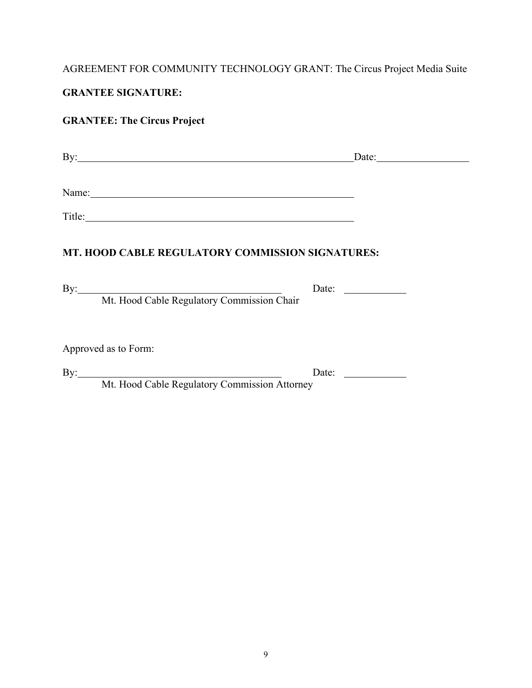# AGREEMENT FOR COMMUNITY TECHNOLOGY GRANT: The Circus Project Media Suite

# **GRANTEE SIGNATURE:**

# **GRANTEE: The Circus Project**

| By:                                                                                                                                                                                                                            | Date: $\frac{1}{\sqrt{1-\frac{1}{2}} \cdot \frac{1}{2}}$ |
|--------------------------------------------------------------------------------------------------------------------------------------------------------------------------------------------------------------------------------|----------------------------------------------------------|
| Name: Name and the second contract of the second contract of the second contract of the second contract of the second contract of the second contract of the second contract of the second contract of the second contract of  |                                                          |
| Title: The contract of the contract of the contract of the contract of the contract of the contract of the contract of the contract of the contract of the contract of the contract of the contract of the contract of the con |                                                          |
| MT. HOOD CABLE REGULATORY COMMISSION SIGNATURES:                                                                                                                                                                               |                                                          |
| By: Mt. Hood Cable Regulatory Commission Chair                                                                                                                                                                                 | Date:                                                    |
| Approved as to Form:                                                                                                                                                                                                           |                                                          |
| By: Mt. Hood Cable Regulatory Commission Attorney                                                                                                                                                                              | Date: $\qquad \qquad$                                    |
|                                                                                                                                                                                                                                |                                                          |
|                                                                                                                                                                                                                                |                                                          |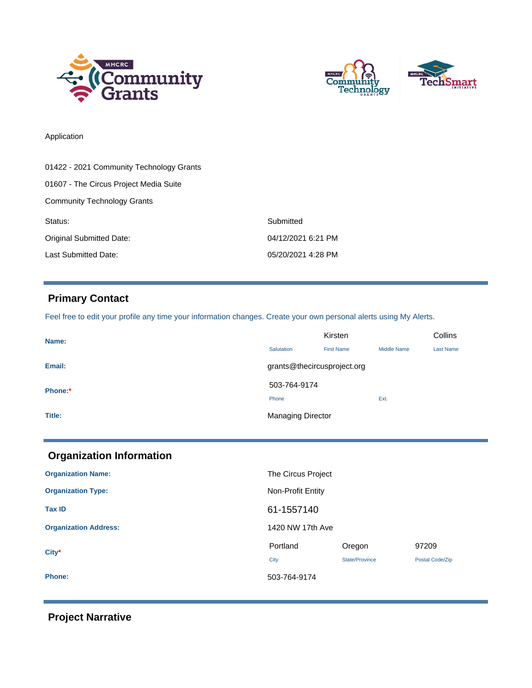



## Application

| 01422 - 2021 Community Technology Grants |                    |
|------------------------------------------|--------------------|
| 01607 - The Circus Project Media Suite   |                    |
| <b>Community Technology Grants</b>       |                    |
| Status:                                  | Submitted          |
| Original Submitted Date:                 | 04/12/2021 6:21 PM |
| Last Submitted Date:                     | 05/20/2021 4:28 PM |

# **Primary Contact**

Feel free to edit your profile any time your information changes. Create your own personal alerts using My Alerts.

| Name:   | Kirsten                     |                   |                    | Collins          |
|---------|-----------------------------|-------------------|--------------------|------------------|
|         | Salutation                  | <b>First Name</b> | <b>Middle Name</b> | <b>Last Name</b> |
| Email:  | grants@thecircusproject.org |                   |                    |                  |
| Phone:* | 503-764-9174                |                   |                    |                  |
|         | Phone                       |                   | Ext.               |                  |
| Title:  | <b>Managing Director</b>    |                   |                    |                  |

| <b>Organization Information</b> |                    |                          |                          |
|---------------------------------|--------------------|--------------------------|--------------------------|
| <b>Organization Name:</b>       | The Circus Project |                          |                          |
| <b>Organization Type:</b>       | Non-Profit Entity  |                          |                          |
| <b>Tax ID</b>                   | 61-1557140         |                          |                          |
| <b>Organization Address:</b>    | 1420 NW 17th Ave   |                          |                          |
| $City*$                         | Portland<br>City   | Oregon<br>State/Province | 97209<br>Postal Code/Zip |
| <b>Phone:</b>                   | 503-764-9174       |                          |                          |

# **Project Narrative**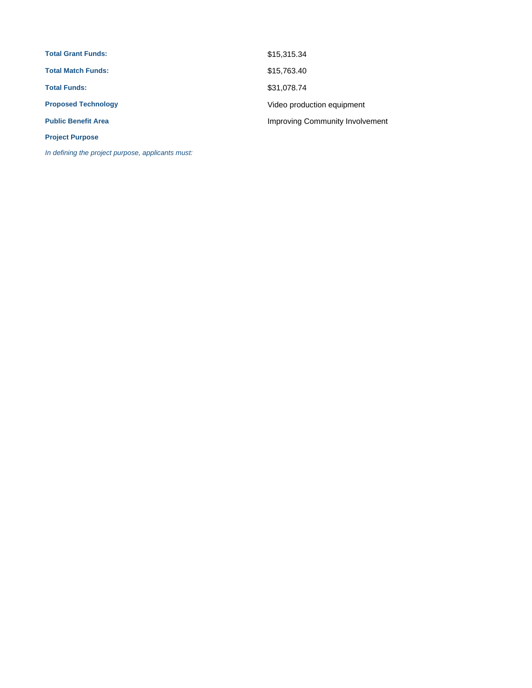| <b>Total Grant Funds:</b>  | \$15,315.34                     |
|----------------------------|---------------------------------|
| <b>Total Match Funds:</b>  | \$15,763.40                     |
| <b>Total Funds:</b>        | \$31,078.74                     |
| <b>Proposed Technology</b> | Video production equipment      |
| <b>Public Benefit Area</b> | Improving Community Involvement |
| <b>Project Purpose</b>     |                                 |

In defining the project purpose, applicants must: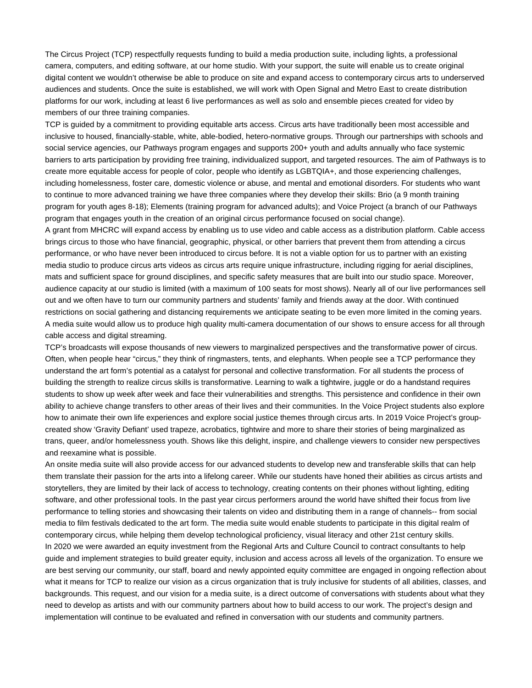The Circus Project (TCP) respectfully requests funding to build a media production suite, including lights, a professional camera, computers, and editing software, at our home studio. With your support, the suite will enable us to create original digital content we wouldn't otherwise be able to produce on site and expand access to contemporary circus arts to underserved audiences and students. Once the suite is established, we will work with Open Signal and Metro East to create distribution platforms for our work, including at least 6 live performances as well as solo and ensemble pieces created for video by members of our three training companies.

TCP is guided by a commitment to providing equitable arts access. Circus arts have traditionally been most accessible and inclusive to housed, financially-stable, white, able-bodied, hetero-normative groups. Through our partnerships with schools and social service agencies, our Pathways program engages and supports 200+ youth and adults annually who face systemic barriers to arts participation by providing free training, individualized support, and targeted resources. The aim of Pathways is to create more equitable access for people of color, people who identify as LGBTQIA+, and those experiencing challenges, including homelessness, foster care, domestic violence or abuse, and mental and emotional disorders. For students who want to continue to more advanced training we have three companies where they develop their skills: Brio (a 9 month training program for youth ages 8-18); Elements (training program for advanced adults); and Voice Project (a branch of our Pathways program that engages youth in the creation of an original circus performance focused on social change).

A grant from MHCRC will expand access by enabling us to use video and cable access as a distribution platform. Cable access brings circus to those who have financial, geographic, physical, or other barriers that prevent them from attending a circus performance, or who have never been introduced to circus before. It is not a viable option for us to partner with an existing media studio to produce circus arts videos as circus arts require unique infrastructure, including rigging for aerial disciplines, mats and sufficient space for ground disciplines, and specific safety measures that are built into our studio space. Moreover, audience capacity at our studio is limited (with a maximum of 100 seats for most shows). Nearly all of our live performances sell out and we often have to turn our community partners and students' family and friends away at the door. With continued restrictions on social gathering and distancing requirements we anticipate seating to be even more limited in the coming years. A media suite would allow us to produce high quality multi-camera documentation of our shows to ensure access for all through cable access and digital streaming.

TCP's broadcasts will expose thousands of new viewers to marginalized perspectives and the transformative power of circus. Often, when people hear "circus," they think of ringmasters, tents, and elephants. When people see a TCP performance they understand the art form's potential as a catalyst for personal and collective transformation. For all students the process of building the strength to realize circus skills is transformative. Learning to walk a tightwire, juggle or do a handstand requires students to show up week after week and face their vulnerabilities and strengths. This persistence and confidence in their own ability to achieve change transfers to other areas of their lives and their communities. In the Voice Project students also explore how to animate their own life experiences and explore social justice themes through circus arts. In 2019 Voice Project's groupcreated show 'Gravity Defiant' used trapeze, acrobatics, tightwire and more to share their stories of being marginalized as trans, queer, and/or homelessness youth. Shows like this delight, inspire, and challenge viewers to consider new perspectives and reexamine what is possible.

An onsite media suite will also provide access for our advanced students to develop new and transferable skills that can help them translate their passion for the arts into a lifelong career. While our students have honed their abilities as circus artists and storytellers, they are limited by their lack of access to technology, creating contents on their phones without lighting, editing software, and other professional tools. In the past year circus performers around the world have shifted their focus from live performance to telling stories and showcasing their talents on video and distributing them in a range of channels-- from social media to [film festivals dedicated to the art form](https://www.circusinternationalfilmfest.com/). The media suite would enable students to participate in this digital realm of contemporary circus, while helping them develop technological proficiency, visual literacy and other 21st century skills. In 2020 we were awarded an equity investment from the Regional Arts and Culture Council to contract consultants to help guide and implement strategies to build greater equity, inclusion and access across all levels of the organization. To ensure we are best serving our community, our staff, board and newly appointed equity committee are engaged in ongoing reflection about what it means for TCP to realize our vision as a circus organization that is truly inclusive for students of all abilities, classes, and backgrounds. This request, and our vision for a media suite, is a direct outcome of conversations with students about what they need to develop as artists and with our community partners about how to build access to our work. The project's design and implementation will continue to be evaluated and refined in conversation with our students and community partners.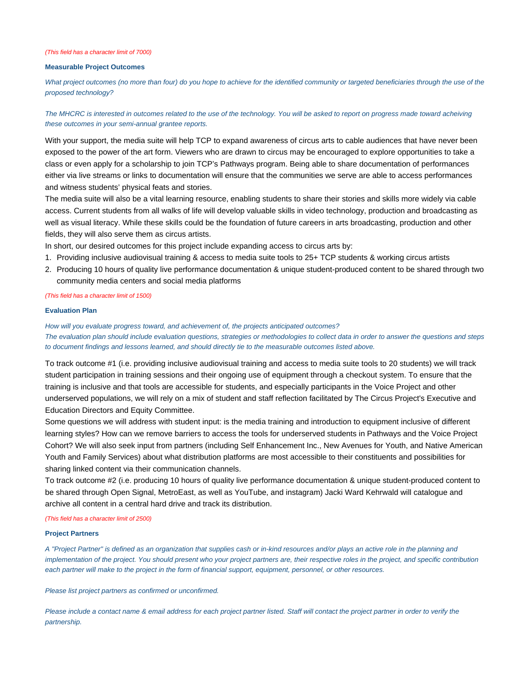#### (This field has a character limit of 7000)

### **Measurable Project Outcomes**

What project outcomes (no more than four) do you hope to achieve for the identified community or targeted beneficiaries through the use of the proposed technology?

## The MHCRC is interested in outcomes related to the use of the technology. You will be asked to report on progress made toward acheiving these outcomes in your semi-annual grantee reports.

With your support, the media suite will help TCP to expand awareness of circus arts to cable audiences that have never been exposed to the power of the art form. Viewers who are drawn to circus may be encouraged to explore opportunities to take a class or even apply for a scholarship to join TCP's Pathways program. Being able to share documentation of performances either via live streams or links to documentation will ensure that the communities we serve are able to access performances and witness students' physical feats and stories.

The media suite will also be a vital learning resource, enabling students to share their stories and skills more widely via cable access. Current students from all walks of life will develop valuable skills in video technology, production and broadcasting as well as visual literacy. While these skills could be the foundation of future careers in arts broadcasting, production and other fields, they will also serve them as circus artists.

In short, our desired outcomes for this project include expanding access to circus arts by:

- 1. Providing inclusive audiovisual training & access to media suite tools to 25+ TCP students & working circus artists
- Producing 10 hours of quality live performance documentation & unique student-produced content to be shared through two 2. community media centers and social media platforms

#### (This field has a character limit of 1500)

## **Evaluation Plan**

How will you evaluate progress toward, and achievement of, the projects anticipated outcomes? The evaluation plan should include evaluation questions, strategies or methodologies to collect data in order to answer the questions and steps to document findings and lessons learned, and should directly tie to the measurable outcomes listed above.

To track outcome #1 (i.e. providing inclusive audiovisual training and access to media suite tools to 20 students) we will track student participation in training sessions and their ongoing use of equipment through a checkout system. To ensure that the training is inclusive and that tools are accessible for students, and especially participants in the Voice Project and other underserved populations, we will rely on a mix of student and staff reflection facilitated by The Circus Project's Executive and Education Directors and Equity Committee.

Some questions we will address with student input: is the media training and introduction to equipment inclusive of different learning styles? How can we remove barriers to access the tools for underserved students in Pathways and the Voice Project Cohort? We will also seek input from partners (including Self Enhancement Inc., New Avenues for Youth, and Native American Youth and Family Services) about what distribution platforms are most accessible to their constituents and possibilities for sharing linked content via their communication channels.

To track outcome #2 (i.e. producing 10 hours of quality live performance documentation & unique student-produced content to be shared through Open Signal, MetroEast, as well as YouTube, and instagram) Jacki Ward Kehrwald will catalogue and archive all content in a central hard drive and track its distribution.

#### (This field has a character limit of 2500)

#### **Project Partners**

A "Project Partner" is defined as an organization that supplies cash or in-kind resources and/or plays an active role in the planning and implementation of the project. You should present who your project partners are, their respective roles in the project, and specific contribution each partner will make to the project in the form of financial support, equipment, personnel, or other resources.

#### Please list project partners as confirmed or unconfirmed.

Please include a contact name & email address for each project partner listed. Staff will contact the project partner in order to verify the partnership.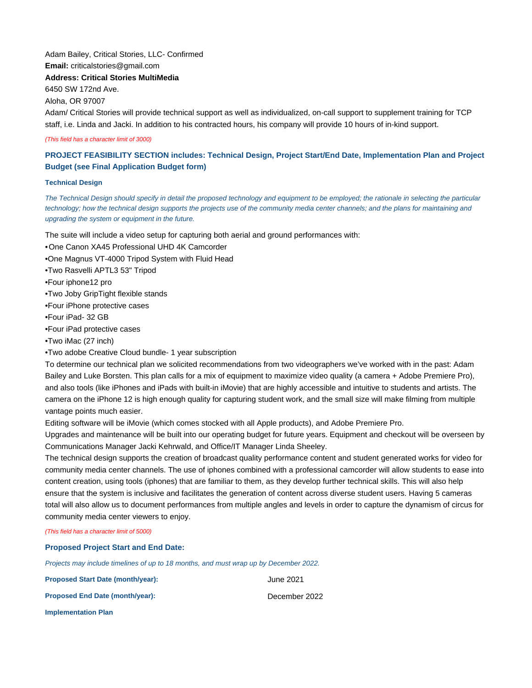## Adam Bailey, Critical Stories, LLC- Confirmed **Email:** criticalstories@gmail.com

**Address: Critical Stories MultiMedia**

6450 SW 172nd Ave.

Aloha, OR 97007

Adam/ Critical Stories will provide technical support as well as individualized, on-call support to supplement training for TCP staff, i.e. Linda and Jacki. In addition to his contracted hours, his company will provide 10 hours of in-kind support.

(This field has a character limit of 3000)

## **PROJECT FEASIBILITY SECTION includes: Technical Design, Project Start/End Date, Implementation Plan and Project Budget (see Final Application Budget form)**

### **Technical Design**

The Technical Design should specify in detail the proposed technology and equipment to be employed; the rationale in selecting the particular technology; how the technical design supports the projects use of the community media center channels; and the plans for maintaining and upgrading the system or equipment in the future.

The suite will include a video setup for capturing both aerial and ground performances with:

•One Canon XA45 Professional UHD 4K Camcorder

•One Magnus VT-4000 Tripod System with Fluid Head

•Two Rasvelli APTL3 53" Tripod

•Four iphone12 pro

•Two Joby GripTight flexible stands

•Four iPhone protective cases

•Four iPad- 32 GB

•Four iPad protective cases

•Two iMac (27 inch)

•Two adobe Creative Cloud bundle- 1 year subscription

To determine our technical plan we solicited recommendations from two videographers we've worked with in the past: Adam Bailey and Luke Borsten. This plan calls for a mix of equipment to maximize video quality (a camera + Adobe Premiere Pro), and also tools (like iPhones and iPads with built-in iMovie) that are highly accessible and intuitive to students and artists. The camera on the iPhone 12 is high enough quality for capturing student work, and the small size will make filming from multiple vantage points much easier.

Editing software will be iMovie (which comes stocked with all Apple products), and Adobe Premiere Pro.

Upgrades and maintenance will be built into our operating budget for future years. Equipment and checkout will be overseen by Communications Manager Jacki Kehrwald, and Office/IT Manager Linda Sheeley.

The technical design supports the creation of broadcast quality performance content and student generated works for video for community media center channels. The use of iphones combined with a professional camcorder will allow students to ease into content creation, using tools (iphones) that are familiar to them, as they develop further technical skills. This will also help ensure that the system is inclusive and facilitates the generation of content across diverse student users. Having 5 cameras total will also allow us to document performances from multiple angles and levels in order to capture the dynamism of circus for community media center viewers to enjoy.

(This field has a character limit of 5000)

### **Proposed Project Start and End Date:**

Projects may include timelines of up to 18 months, and must wrap up by December 2022.

**Proposed Start Date (month/year):** June 2021 **Proposed End Date (month/year):** December 2022 **Implementation Plan**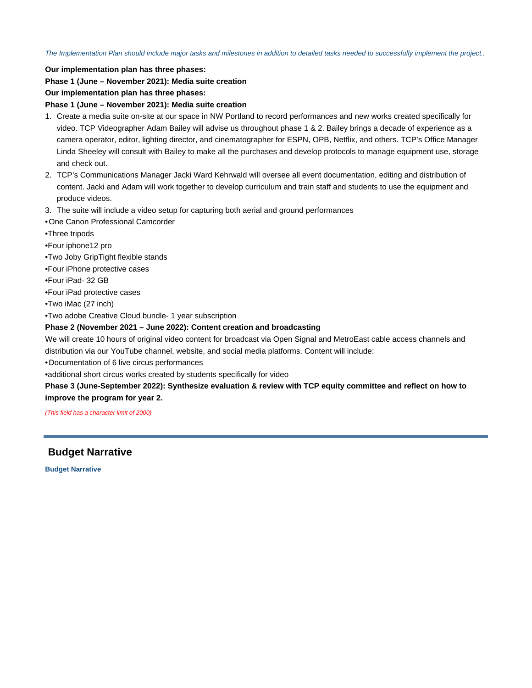The Implementation Plan should include major tasks and milestones in addition to detailed tasks needed to successfully implement the project..

**Our implementation plan has three phases:**

**Phase 1 (June – November 2021): Media suite creation**

**Our implementation plan has three phases:**

**Phase 1 (June – November 2021): Media suite creation**

- 1. Create a media suite on-site at our space in NW Portland to record performances and new works created specifically for video. TCP Videographer Adam Bailey will advise us throughout phase 1 & 2. Bailey brings a decade of experience as a camera operator, editor, lighting director, and cinematographer for ESPN, OPB, Netflix, and others. TCP's Office Manager Linda Sheeley will consult with Bailey to make all the purchases and develop protocols to manage equipment use, storage and check out.
- 2. TCP's Communications Manager Jacki Ward Kehrwald will oversee all event documentation, editing and distribution of content. Jacki and Adam will work together to develop curriculum and train staff and students to use the equipment and produce videos.
- 3. The suite will include a video setup for capturing both aerial and ground performances

•One Canon Professional Camcorder

- •Three tripods
- •Four iphone12 pro
- •Two Joby GripTight flexible stands
- •Four iPhone protective cases
- •Four iPad- 32 GB
- •Four iPad protective cases
- •Two iMac (27 inch)
- •Two adobe Creative Cloud bundle- 1 year subscription

## **Phase 2 (November 2021 – June 2022): Content creation and broadcasting**

We will create 10 hours of original video content for broadcast via Open Signal and MetroEast cable access channels and distribution via our YouTube channel, website, and social media platforms. Content will include:

•Documentation of 6 live circus performances

•additional short circus works created by students specifically for video

**Phase 3 (June-September 2022): Synthesize evaluation & review with TCP equity committee and reflect on how to improve the program for year 2.** 

(This field has a character limit of 2000)

 **Budget Narrative**

**Budget Narrative**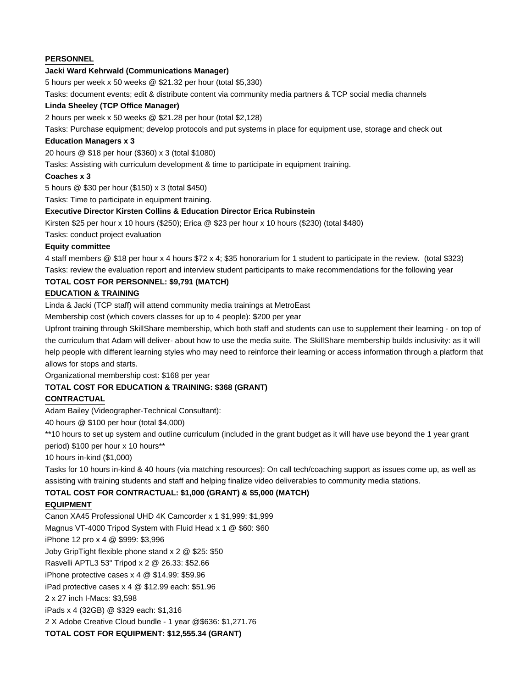## **PERSONNEL**

## **Jacki Ward Kehrwald (Communications Manager)**

5 hours per week x 50 weeks @ \$21.32 per hour (total \$5,330)

Tasks: document events; edit & distribute content via community media partners & TCP social media channels

### **Linda Sheeley (TCP Office Manager)**

2 hours per week x 50 weeks @ \$21.28 per hour (total \$2,128)

Tasks: Purchase equipment; develop protocols and put systems in place for equipment use, storage and check out

### **Education Managers x 3**

20 hours @ \$18 per hour (\$360) x 3 (total \$1080)

Tasks: Assisting with curriculum development & time to participate in equipment training.

## **Coaches x 3**

5 hours @ \$30 per hour (\$150) x 3 (total \$450)

Tasks: Time to participate in equipment training.

## **Executive Director Kirsten Collins & Education Director Erica Rubinstein**

Kirsten \$25 per hour x 10 hours (\$250); Erica @ \$23 per hour x 10 hours (\$230) (total \$480)

Tasks: conduct project evaluation

## **Equity committee**

4 staff members @ \$18 per hour x 4 hours \$72 x 4; \$35 honorarium for 1 student to participate in the review. (total \$323) Tasks: review the evaluation report and interview student participants to make recommendations for the following year

## **TOTAL COST FOR PERSONNEL: \$9,791 (MATCH)**

## **EDUCATION & TRAINING**

Linda & Jacki (TCP staff) will attend community media trainings at MetroEast

Membership cost (which covers classes for up to 4 people): \$200 per year

Upfront training through [SkillShare membership,](https://www.skillshare.com/membership/checkout?via=class-details&redirectTo=https%3A%2F%2Fwww.skillshare.com%2Fclasses%2F1304578769%2FsubscriptionEnroll%3Fclass-state%3Dmembership-only-one-click-enroll) which both staff and students can use to supplement their learning - on top of the curriculum that Adam will deliver- about how to use the media suite. The SkillShare membership builds inclusivity: as it will help people with different learning styles who may need to reinforce their learning or access information through a platform that allows for stops and starts.

Organizational membership cost: \$168 per year

## **TOTAL COST FOR EDUCATION & TRAINING: \$368 (GRANT)**

## **CONTRACTUAL**

Adam Bailey (Videographer-Technical Consultant):

40 hours @ \$100 per hour (total \$4,000)

\*\*10 hours to set up system and outline curriculum (included in the grant budget as it will have use beyond the 1 year grant

period) \$100 per hour x 10 hours\*\*

10 hours in-kind (\$1,000)

Tasks for 10 hours in-kind & 40 hours (via matching resources): On call tech/coaching support as issues come up, as well as assisting with training students and staff and helping finalize video deliverables to community media stations.

## **TOTAL COST FOR CONTRACTUAL: \$1,000 (GRANT) & \$5,000 (MATCH)**

## **EQUIPMENT**

Canon XA45 Professional UHD 4K Camcorder x 1 \$1,999: \$1,999 Magnus VT-4000 Tripod System with Fluid Head x 1 @ \$60: \$60 iPhone 12 pro x 4 @ \$999: \$3,996 Joby GripTight flexible phone stand x 2 @ \$25: \$50 Rasvelli APTL3 53" Tripod x 2 @ 26.33: \$52.66 iPhone protective cases x 4 @ \$14.99: \$59.96 iPad protective cases x 4 @ \$12.99 each: \$51.96 2 x 27 inch I-Macs: \$3,598 iPads x 4 (32GB) @ \$329 each: \$1,316 2 X Adobe Creative Cloud bundle - 1 year @\$636: \$1,271.76 **TOTAL COST FOR EQUIPMENT: \$12,555.34 (GRANT)**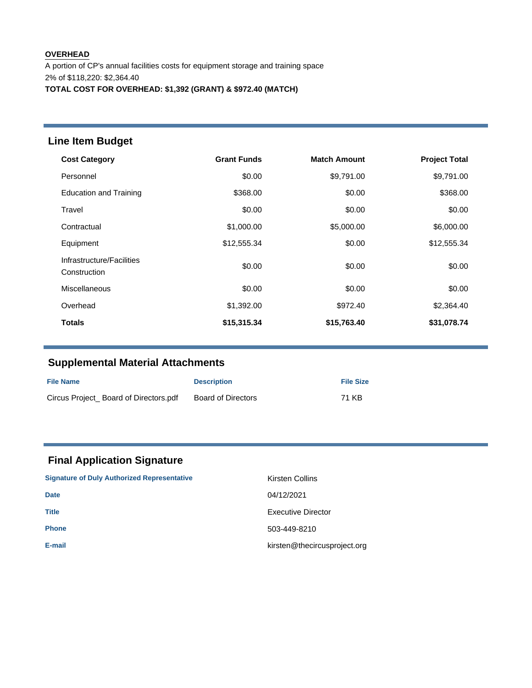## **OVERHEAD** A portion of CP's annual facilities costs for equipment storage and training space 2% of \$118,220: \$2,364.40 **TOTAL COST FOR OVERHEAD: \$1,392 (GRANT) & \$972.40 (MATCH)**

# **Line Item Budget**

| <b>Cost Category</b>                      | <b>Grant Funds</b> | <b>Match Amount</b> | <b>Project Total</b> |
|-------------------------------------------|--------------------|---------------------|----------------------|
| Personnel                                 | \$0.00             | \$9,791.00          | \$9,791.00           |
| <b>Education and Training</b>             | \$368.00           | \$0.00              | \$368.00             |
| Travel                                    | \$0.00             | \$0.00              | \$0.00               |
| Contractual                               | \$1,000.00         | \$5,000.00          | \$6,000.00           |
| Equipment                                 | \$12,555.34        | \$0.00              | \$12,555.34          |
| Infrastructure/Facilities<br>Construction | \$0.00             | \$0.00              | \$0.00               |
| <b>Miscellaneous</b>                      | \$0.00             | \$0.00              | \$0.00               |
| Overhead                                  | \$1,392.00         | \$972.40            | \$2,364.40           |
| <b>Totals</b>                             | \$15,315.34        | \$15,763.40         | \$31,078.74          |

# **Supplemental Material Attachments**

| <b>File Name</b>                      | <b>Description</b> | <b>File Size</b> |
|---------------------------------------|--------------------|------------------|
| Circus Project Board of Directors.pdf | Board of Directors | 71 KB            |

# **Final Application Signature**

| <b>Signature of Duly Authorized Representative</b> | Kirsten Collins              |
|----------------------------------------------------|------------------------------|
| <b>Date</b>                                        | 04/12/2021                   |
| <b>Title</b>                                       | Executive Director           |
| <b>Phone</b>                                       | 503-449-8210                 |
| E-mail                                             | kirsten@thecircusproject.org |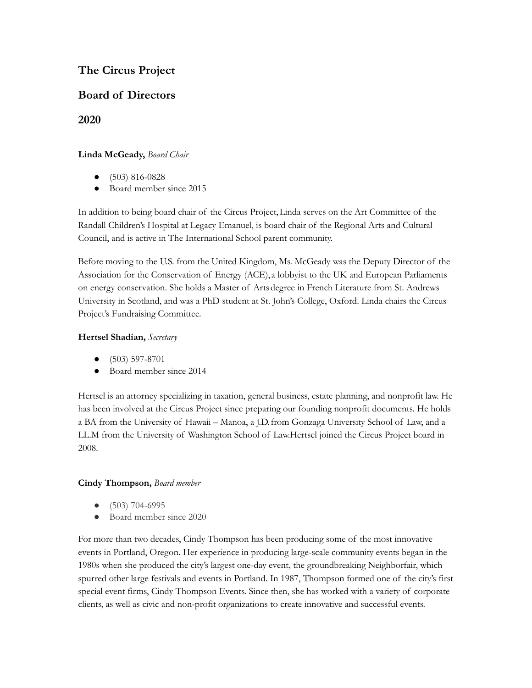# **The Circus Project**

# **Board of Directors**

**2020**

## **Linda McGeady,** *Board Chair*

- (503) 816-0828
- Board member since 2015

In addition to being board chair of the Circus Project,Linda serves on the Art Committee of the Randall Children's Hospital at Legacy Emanuel, is board chair of the Regional Arts and Cultural Council, and is active in The International School parent community.

Before moving to the U.S. from the United Kingdom, Ms. McGeady was the Deputy Director of the Association for the Conservation of Energy (ACE), a lobbyist to the UK and European Parliaments on energy conservation. She holds a Master of Artsdegree in French Literature from St. Andrews University in Scotland, and was a PhD student at St. John's College, Oxford. Linda chairs the Circus Project's Fundraising Committee.

## **Hertsel Shadian,** *Secretary*

- (503) 597-8701
- Board member since 2014

Hertsel is an attorney specializing in taxation, general business, estate planning, and nonprofit law. He has been involved at the Circus Project since preparing our founding nonprofit documents. He holds a BA from the University of Hawaii – Manoa, a J.D.from Gonzaga University School of Law, and a LL.M from the University of Washington School of Law.Hertsel joined the Circus Project board in 2008.

## **Cindy Thompson,** *Board member*

- (503) 704-6995
- Board member since 2020

For more than two decades, Cindy Thompson has been producing some of the most innovative events in Portland, Oregon. Her experience in producing large-scale community events began in the 1980s when she produced the city's largest one-day event, the groundbreaking Neighborfair, which spurred other large festivals and events in Portland. In 1987, Thompson formed one of the city's first special event firms, Cindy Thompson Events. Since then, she has worked with a variety of corporate clients, as well as civic and non-profit organizations to create innovative and successful events.